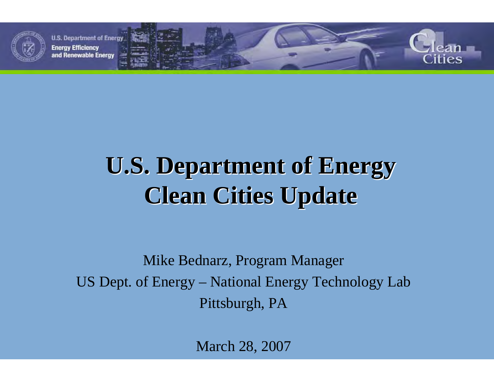

# **U.S. Department of Energy U.S. Department of Energy Clean Cities Update Clean Cities Update**

Mike Bednarz, Program Manager US Dept. of Energy – National Energy Technology Lab Pittsburgh, PA

March 28, 2007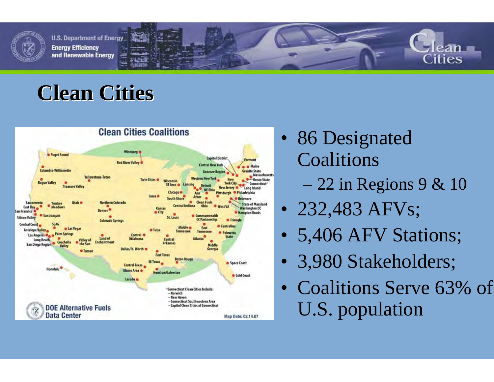

### **Clean Cities Clean Cities**



- 86 Designated Coalitions
	- 22 in Regions 9 & 10
- 232,483 AFVs;
- •5,406 AFV Stations;
- •3,980 Stakeholders;
- Coalitions Serve 63% of U.S. population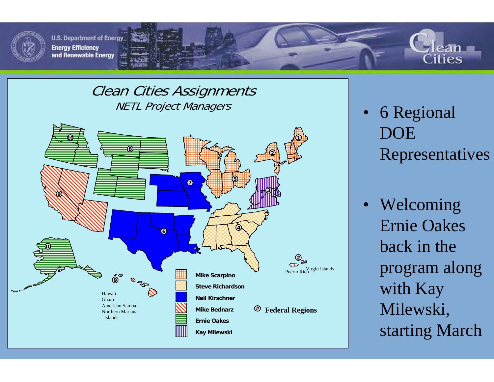



#### Clean Cities Assignments NETL Project Managers



- 6 Regional DOE Representatives
- Welcoming Ernie Oakes back in the program along with Kay Milewski, starting March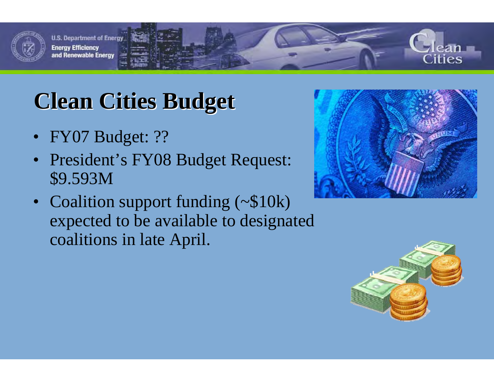

# **Clean Cities Budget Clean Cities Budget**

- FY07 Budget: ??
- President's FY08 Budget Request: \$9.593M
- Coalition support funding (~\$10k) expected to be available to designated coalitions in late April.



ities

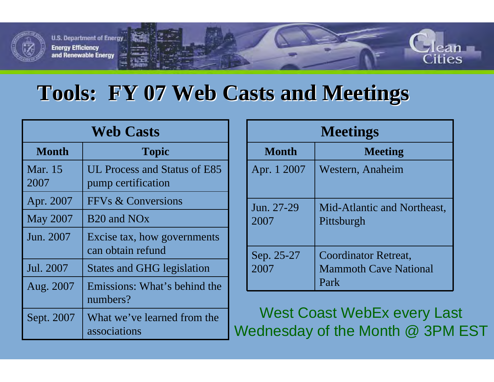

### **Tools: FY 07 Web Casts and Meetings Tools: FY 07 Web Casts and Meetings**

| <b>Web Casts</b> |                                                    |  |
|------------------|----------------------------------------------------|--|
| <b>Month</b>     | <b>Topic</b>                                       |  |
| Mar. 15<br>2007  | UL Process and Status of E85<br>pump certification |  |
| Apr. 2007        | FFV <sub>s</sub> & Conversions                     |  |
| <b>May 2007</b>  | B <sub>20</sub> and NO <sub>x</sub>                |  |
| Jun. 2007        | Excise tax, how governments<br>can obtain refund   |  |
| Jul. 2007        | <b>States and GHG legislation</b>                  |  |
| Aug. 2007        | Emissions: What's behind the<br>numbers?           |  |
| Sept. 2007       | What we've learned from the<br>associations        |  |

| <b>Meetings</b>    |                                                                     |
|--------------------|---------------------------------------------------------------------|
| <b>Month</b>       | <b>Meeting</b>                                                      |
| Apr. 1 2007        | Western, Anaheim                                                    |
| Jun. 27-29<br>2007 | Mid-Atlantic and Northeast,<br>Pittsburgh                           |
| Sep. 25-27<br>2007 | <b>Coordinator Retreat,</b><br><b>Mammoth Cave National</b><br>Park |

ities

West Coast WebEx every Last Wednesday of the Month @ 3PM EST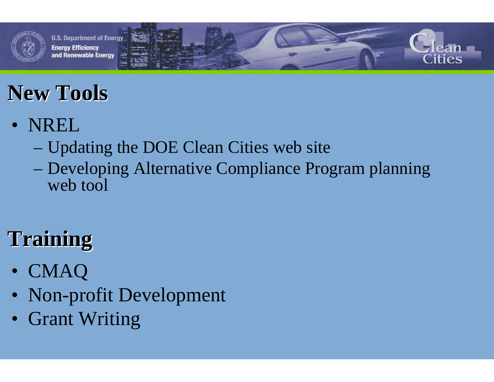

## **New Tools New Tools**

- NREL
	- Updating the DOE Clean Cities web site
	- Developing Alternative Compliance Program planning web tool

# **Training Training**

- CMAQ
- Non-profit Development
- Grant Writing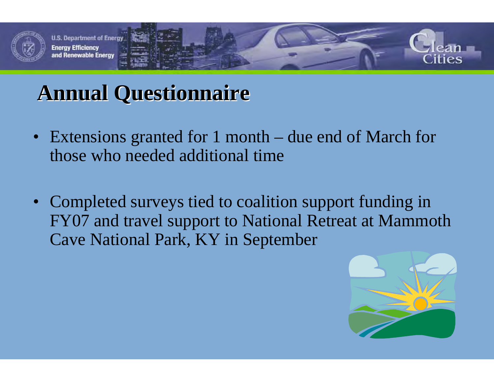

### **Annual Questionnaire Annual Questionnaire**

- Extensions granted for 1 month due end of March for those who needed additional time
- Completed surveys tied to coalition support funding in FY07 and travel support to National Retreat at Mammoth Cave National Park, KY in September

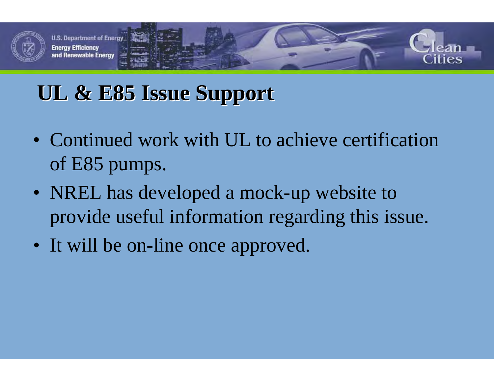

### **UL & E85 Issue Support UL & E85 Issue Support**

- Continued work with UL to achieve certification of E85 pumps.
- NREL has developed a mock-up website to provide useful information regarding this issue.
- It will be on-line once approved.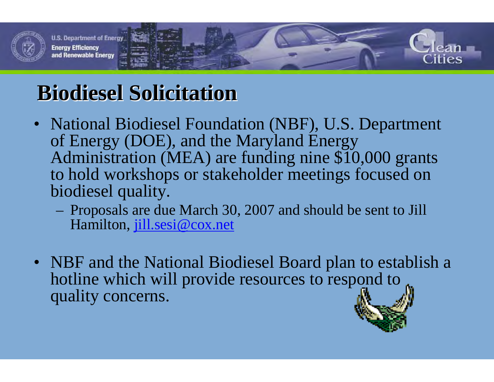

## **Biodiesel Solicitation Biodiesel Solicitation**

- National Biodiesel Foundation (NBF), U.S. Department of Energy (DOE), and the Maryland Energy Administration (MEA) are funding nine \$10,000 grants to hold workshops or stakeholder meetings focused on biodiesel quality.
	- Proposals are due March 30, 2007 and should be sent to Jill Hamilton, jill.sesi@cox.net
- NBF and the National Biodiesel Board plan to establish a hotline which will provide resources to respond to quality concerns.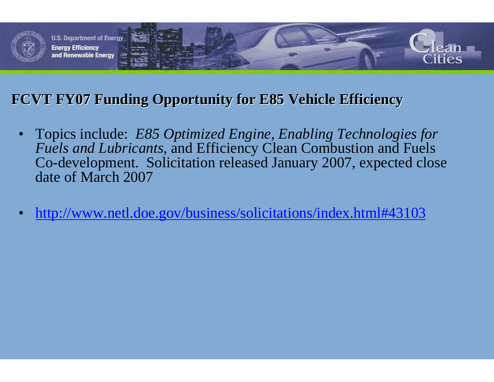

### **FCVT FY07 Funding Opportunity for E85 Vehicle Efficiency FCVT FY07 Funding Opportunity for E85 Vehicle Efficiency**

- $\bullet$  Topics include: *E85 Optimized Engine, Enabling Technologies for Fuels and Lubricants*, and Efficiency Clean Combustion and Fuels Co-development. Solicitation released January 2007, expected close date of March 2007
- •http://www.netl.doe.gov/business/solicitations/index.html#43103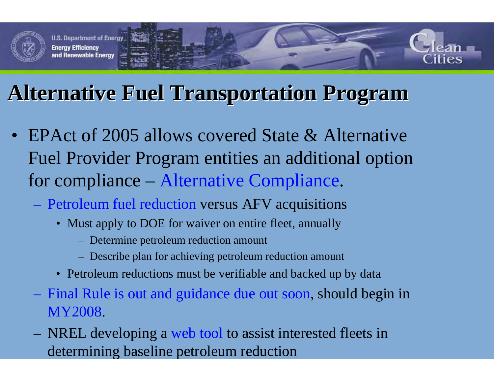

## **Alternative Fuel Transportation Program Alternative Fuel Transportation Program**

- EPAct of 2005 allows covered State & Alternative Fuel Provider Program entities an additional option for compliance – Alternative Compliance.
	- Petroleum fuel reduction versus AFV acquisitions
		- Must apply to DOE for waiver on entire fleet, annually
			- Determine petroleum reduction amount
			- Describe plan for achieving petroleum reduction amount
		- Petroleum reductions must be verifiable and backed up by data
	- Final Rule is out and guidance due out soon, should begin in MY2008.
	- NREL developing a web tool to assist interested fleets in determinin g baseline petroleum reduction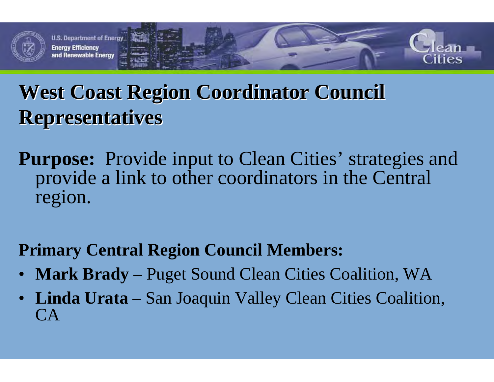

### West Coast Region Coordinator Council **Representatives Representatives**

**Purpose:** Provide input to Clean Cities' strategies and provide a link to other coordinators in the Central region.

### **Primary Central Region Council Members:**

- $\bullet$ **Mark Brady –** Puget Sound Clean Cities Coalition, WA
- **Linda Urata –** San Joaquin Valley Clean Cities Coalition, CA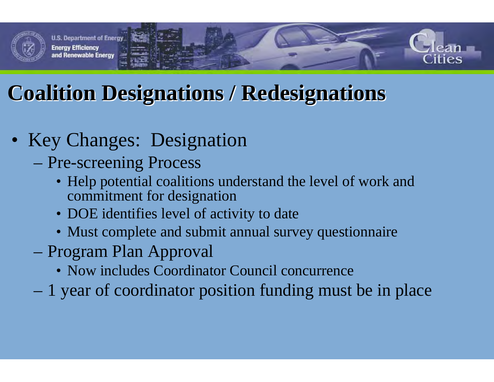

### **Coalition Designations / Redesignations Coalition Designations / Redesignations**

### • Key Changes: Designation

- Pre-screening Process
	- Help potential coalitions understand the level of work and commitment for designation
	- DOE identifies level of activity to date
	- Must complete and submit annual survey questionnaire
- Program Plan Approval
	- Now includes Coordinator Council concurrence
- 1 year of coordinator position funding must be in place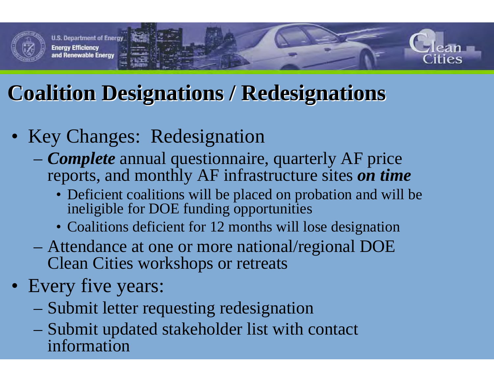

### **Coalition Designations / Redesignations Coalition Designations / Redesignations**

- Key Changes: Redesignation
	- *Complete* annual questionnaire, quarterly AF price reports, and monthly AF infrastructure sites *on time*
		- Deficient coalitions will be placed on probation and will be ineligible for DOE funding opportunities
		- Coalitions deficient for 12 months will lose designation
	- Attendance at one or more national/regional DOE Clean Cities workshops or retreats
- Every five years:
	- Submit letter requesting redesignation
	- Submit updated stakeholder list with contact information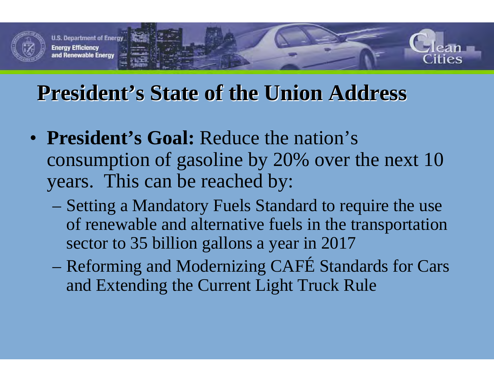

### **President's State of the Union Address**

- **President's Goal:** Reduce the nation's consumption of gasoline by 20% over the next 10 years. This can be reached by:
	- Setting a Mandatory Fuels Standard to require the use of renewable and alternative fuels in the transportation sector to 35 billion gallons a year in 2017
	- Reforming and Modernizing CAFÉ Standards for Cars and Extending the Current Light Truck Rule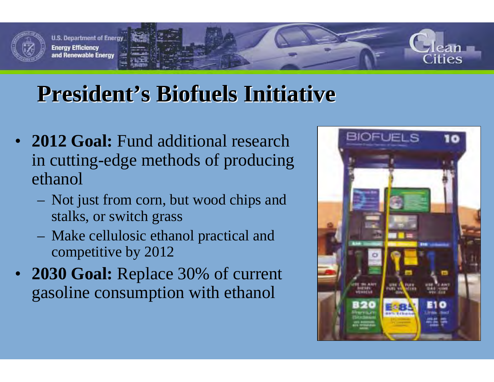

### **President's Biofuels Initiative**

- **2012 Goal:** Fund additional research in cutting-edge methods of producing ethanol
	- Not just from corn, but wood chips and stalks, or switch grass
	- Make cellulosic ethanol practical and competitive by 2012
- **2030 Goal:** Replace 30% of current gasoline consumption with ethanol

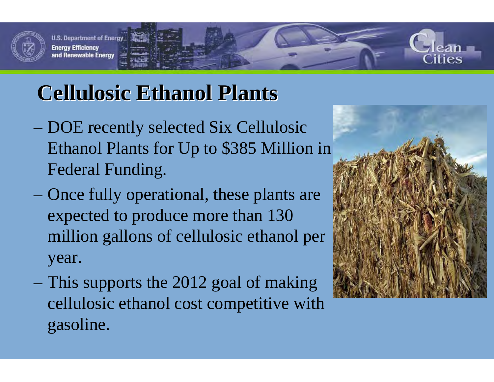

## **Cellulosic Ethanol Plants Cellulosic Ethanol Plants**

- DOE recently selected Six Cellulosic Ethanol Plants for Up to \$385 Million in Federal Funding.
- Once fully operational, these plants are expected to produce more than 130 million gallons of cellulosic ethanol per year.
- This supports the 2012 goal of making cellulosic ethanol cost competitive with gasoline.

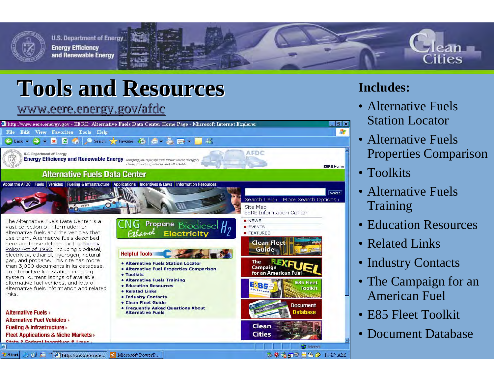

# **Tools and Resources Tools and Resources**

#### www.eere.energy.gov/afdc

I Start J B L " Shttp://www.eere.e... B Microsoft PowerP...



#### **Includes:**

- Alternative Fuels Station Locator
- Alternative Fuels Properties Comparison

ities

- Toolkits
- Alternative Fuels Training
- Education Resources
- Related Links
- Industry Contacts
- The Campaign for an American Fuel
- E85 Fleet Toolkit

3 9 名石 9 目 8 2 10:29 AM

• Document Database